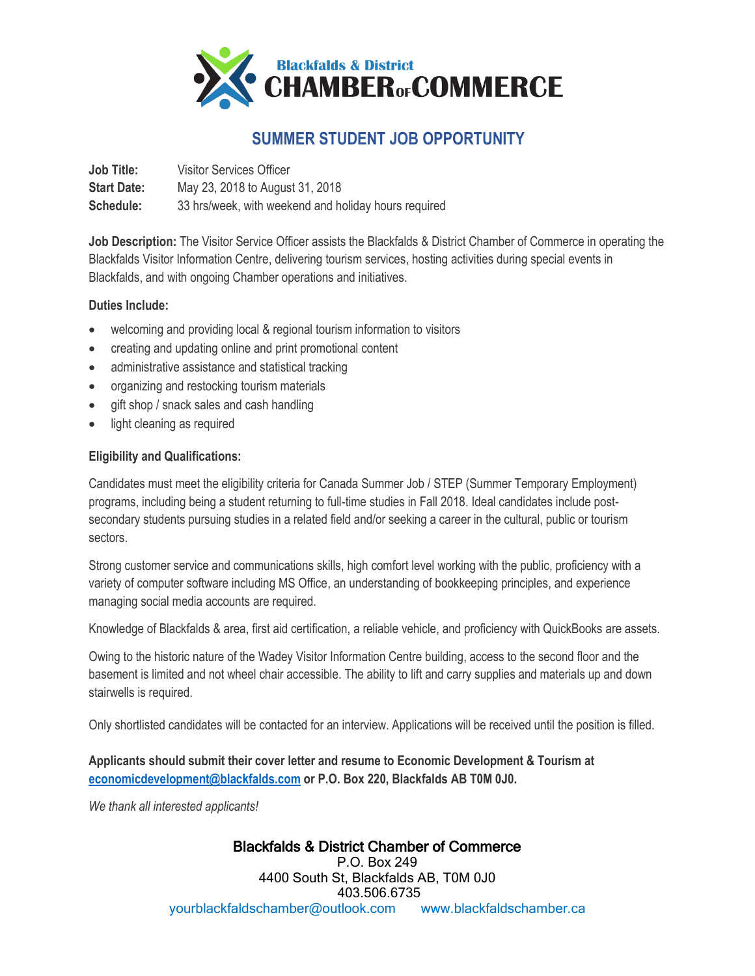

## **SUMMER STUDENT JOB OPPORTUNITY**

**Job Title:** Visitor Services Officer **Start Date:** May 23, 2018 to August 31, 2018 **Schedule:** 33 hrs/week, with weekend and holiday hours required

**Job Description:** The Visitor Service Officer assists the Blackfalds & District Chamber of Commerce in operating the Blackfalds Visitor Information Centre, delivering tourism services, hosting activities during special events in Blackfalds, and with ongoing Chamber operations and initiatives.

## **Duties Include:**

- welcoming and providing local & regional tourism information to visitors
- creating and updating online and print promotional content
- administrative assistance and statistical tracking
- organizing and restocking tourism materials
- gift shop / snack sales and cash handling
- light cleaning as required

## **Eligibility and Qualifications:**

Candidates must meet the eligibility criteria for Canada Summer Job / STEP (Summer Temporary Employment) programs, including being a student returning to full-time studies in Fall 2018. Ideal candidates include postsecondary students pursuing studies in a related field and/or seeking a career in the cultural, public or tourism sectors.

Strong customer service and communications skills, high comfort level working with the public, proficiency with a variety of computer software including MS Office, an understanding of bookkeeping principles, and experience managing social media accounts are required.

Knowledge of Blackfalds & area, first aid certification, a reliable vehicle, and proficiency with QuickBooks are assets.

Owing to the historic nature of the Wadey Visitor Information Centre building, access to the second floor and the basement is limited and not wheel chair accessible. The ability to lift and carry supplies and materials up and down stairwells is required.

Only shortlisted candidates will be contacted for an interview. Applications will be received until the position is filled.

**Applicants should submit their cover letter and resume to Economic Development & Tourism at [economicdevelopment@blackfalds.com](mailto:economicdevelopment@blackfalds.com) or P.O. Box 220, Blackfalds AB T0M 0J0.**

*We thank all interested applicants!* 

## Blackfalds & District Chamber of Commerce

P.O. Box 249 4400 South St, Blackfalds AB, T0M 0J0 403.506.6735 [yourblackfaldschamber@outlook.com](mailto:yourblackfaldschamber@outlook.com) www.blackfaldschamber.ca